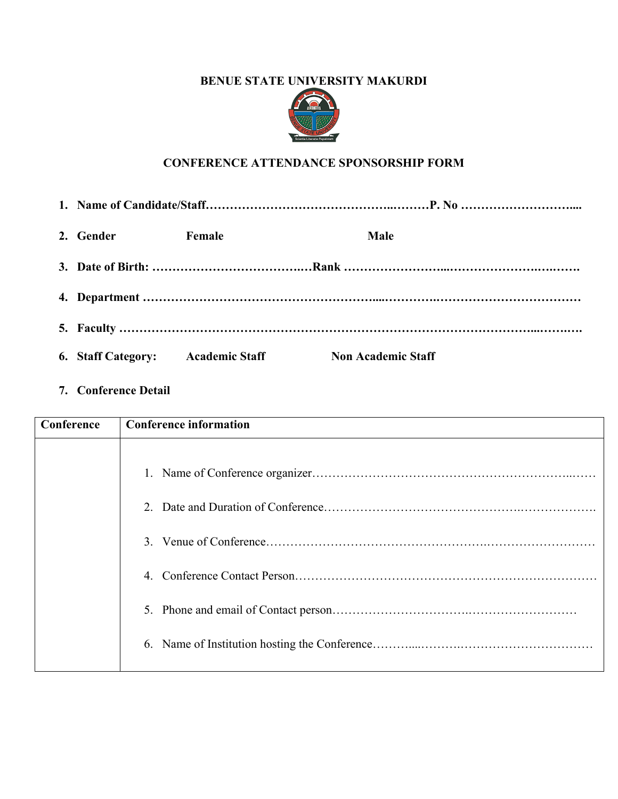## **BENUE STATE UNIVERSITY MAKURDI**



# **CONFERENCE ATTENDANCE SPONSORSHIP FORM**

| 2. Gender | Female                            | <b>Male</b>               |  |
|-----------|-----------------------------------|---------------------------|--|
|           |                                   |                           |  |
|           |                                   |                           |  |
|           |                                   |                           |  |
|           | 6. Staff Category: Academic Staff | <b>Non Academic Staff</b> |  |

**7. Conference Detail**

| Conference | <b>Conference information</b> |
|------------|-------------------------------|
|            |                               |
|            |                               |
|            | 2 <sup>1</sup>                |
|            | $\mathcal{E}$                 |
|            | $\overline{4}$                |
|            | 5.                            |
|            |                               |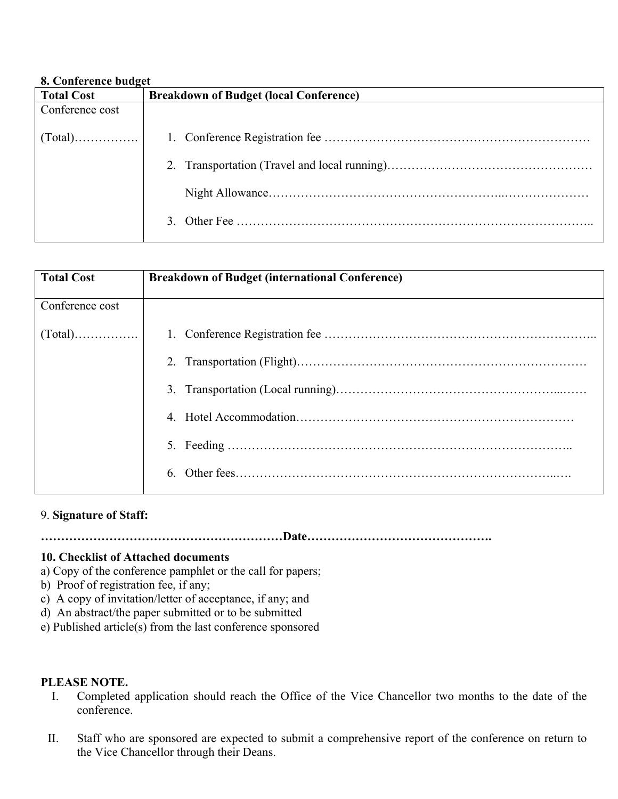#### **8. Conference budget**

| <b>Total Cost</b>            | <b>Breakdown of Budget (local Conference)</b> |
|------------------------------|-----------------------------------------------|
| Conference cost              |                                               |
|                              |                                               |
| $\lceil \text{Total} \rceil$ |                                               |
|                              |                                               |
|                              |                                               |
|                              |                                               |
|                              |                                               |
|                              |                                               |
|                              |                                               |

| <b>Total Cost</b> | <b>Breakdown of Budget (international Conference)</b> |
|-------------------|-------------------------------------------------------|
| Conference cost   |                                                       |
|                   |                                                       |
|                   |                                                       |
|                   |                                                       |
|                   |                                                       |
|                   |                                                       |
|                   | 6                                                     |
|                   |                                                       |

## 9. **Signature of Staff:**

**……………………………………………………Date……………………………………….**

### **10. Checklist of Attached documents**

- a) Copy of the conference pamphlet or the call for papers;
- b) Proof of registration fee, if any;
- c) A copy of invitation/letter of acceptance, if any; and
- d) An abstract/the paper submitted or to be submitted
- e) Published article(s) from the last conference sponsored

### **PLEASE NOTE.**

- I. Completed application should reach the Office of the Vice Chancellor two months to the date of the conference.
- II. Staff who are sponsored are expected to submit a comprehensive report of the conference on return to the Vice Chancellor through their Deans.